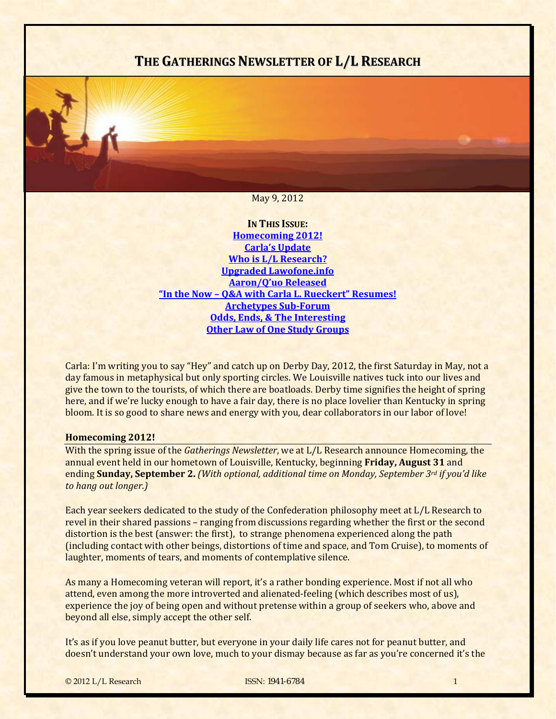# **THE GATHERINGS NEWSLETTER OF L/L RESEARCH**

May 9, 2012

**IN THIS ISSUE: [Homecoming](#page-0-0) 2012! Carla's [Update](#page-2-0) Who is L/L [Research?](#page-2-1) Upgraded [Lawofone.info](#page-3-0) [Aaron/Q'uo](#page-5-0) Released "In the Now – Q&A with Carla L. [Rueckert"](#page-6-0) Resumes! [Archetypes](#page-7-0) SubForum Odds, Ends, & The [Interesting](#page-7-1) Other Law of One Study [Groups](#page-10-0)**

Carla: I'm writing you to say "Hey" and catch up on Derby Day, 2012, the first Saturday in May, not a day famous in metaphysical but only sporting circles. We Louisville natives tuck into our lives and give the town to the tourists, of which there are boatloads. Derby time signifies the height of spring here, and if we're lucky enough to have a fair day, there is no place lovelier than Kentucky in spring bloom. It is so good to share news and energy with you, dear collaborators in our labor of love!

#### <span id="page-0-0"></span>**Homecoming 2012!**

With the spring issue of the *Gatherings Newsletter*, we at L/L Research announce Homecoming, the annual event held in our hometown of Louisville, Kentucky, beginning **Friday, August 31** and ending **Sunday, September 2.** *(With optional, additional time on Monday, September 3rd if you'd like to hang out longer.)*

Each year seekers dedicated to the study of the Confederation philosophy meet at L/L Research to revel in their shared passions – ranging from discussions regarding whether the first or the second distortion is the best (answer: the first), to strange phenomena experienced along the path (including contact with other beings, distortions of time and space, and Tom Cruise), to moments of laughter, moments of tears, and moments of contemplative silence.

As many a Homecoming veteran will report, it's a rather bonding experience. Most if not all who attend, even among the more introverted and alienated‐feeling (which describes most of us), experience the joy of being open and without pretense within a group of seekers who, above and beyond all else, simply accept the other self.

It's as if you love peanut butter, but everyone in your daily life cares not for peanut butter, and doesn't understand your own love, much to your dismay because as far as you're concerned it's the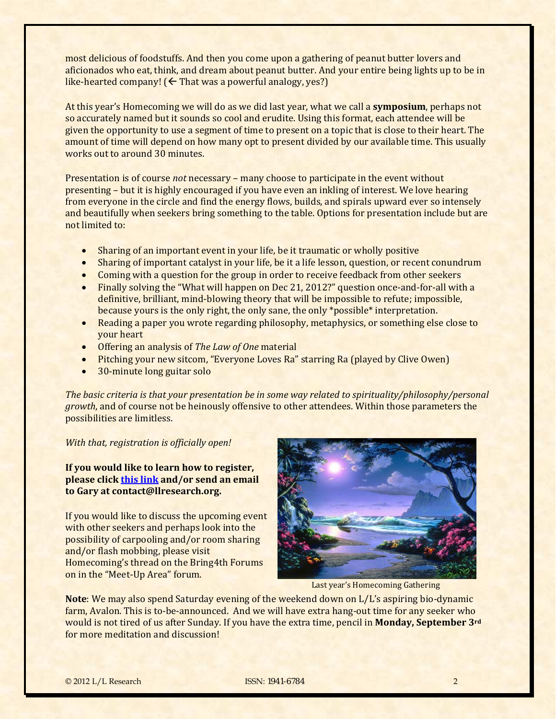most delicious of foodstuffs. And then you come upon a gathering of peanut butter lovers and aficionados who eat, think, and dream about peanut butter. And your entire being lights up to be in like-hearted company!  $($  That was a powerful analogy, yes?)

At this year's Homecoming we will do as we did last year, what we call a **symposium**, perhaps not so accurately named but it sounds so cool and erudite. Using this format, each attendee will be given the opportunity to use a segment of time to present on a topic that is close to their heart. The amount of time will depend on how many opt to present divided by our available time. This usually works out to around 30 minutes.

Presentation is of course *not* necessary – many choose to participate in the event without presenting – but it is highly encouraged if you have even an inkling of interest. We love hearing from everyone in the circle and find the energy flows, builds, and spirals upward ever so intensely and beautifully when seekers bring something to the table. Options for presentation include but are not limited to:

- Sharing of an important event in your life, be it traumatic or wholly positive
- Sharing of important catalyst in your life, be it a life lesson, question, or recent conundrum
- Coming with a question for the group in order to receive feedback from other seekers
- Finally solving the "What will happen on Dec 21, 2012?" question once-and-for-all with a definitive, brilliant, mind‐blowing theory that will be impossible to refute; impossible, because yours is the only right, the only sane, the only \*possible\* interpretation.
- Reading a paper you wrote regarding philosophy, metaphysics, or something else close to your heart
- **•** Offering an analysis of *The Law of One* material
- Pitching your new sitcom, "Everyone Loves Ra" starring Ra (played by Clive Owen)
- 30‐minute long guitar solo

*The basic criteria is that your presentation be in some way related to spirituality/philosophy/personal growth*, and of course not be heinously offensive to other attendees. Within those parameters the possibilities are limitless.

*With that, registration is officially open!* 

**If you would like to learn how to register, please click this [link](http://www.bring4th.org/news/index.php?newsid=114) and/or send an email to Gary at contact@llresearch.org.** 

If you would like to discuss the upcoming event with other seekers and perhaps look into the possibility of carpooling and/or room sharing and/or flash mobbing, please visit Homecoming's thread on the Bring4th Forums on in the "Meet‐Up Area" forum.



Last year's Homecoming Gathering

**Note**: We may also spend Saturday evening of the weekend down on L/L's aspiring bio‐dynamic farm, Avalon. This is to-be-announced. And we will have extra hang-out time for any seeker who would is not tired of us after Sunday. If you have the extra time, pencil in **Monday, September 3rd** for more meditation and discussion!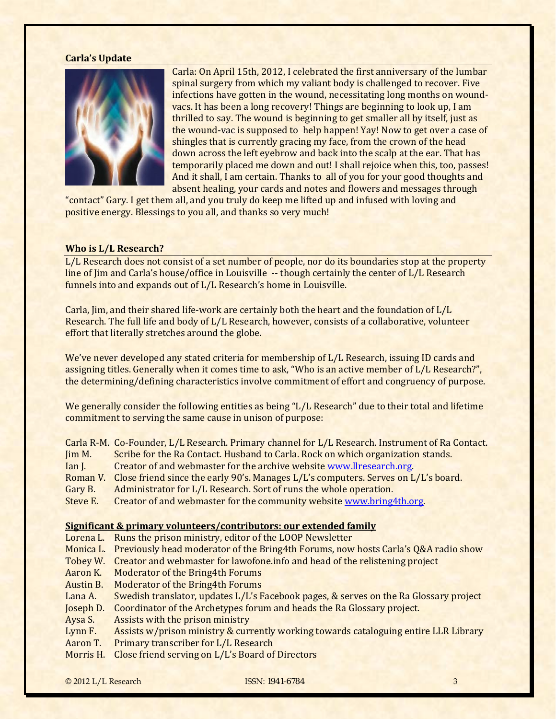#### **Carla's Update**

<span id="page-2-0"></span>

Carla: On April 15th, 2012, I celebrated the first anniversary of the lumbar spinal surgery from which my valiant body is challenged to recover. Five infections have gotten in the wound, necessitating long months on wound‐ vacs. It has been a long recovery! Things are beginning to look up, I am thrilled to say. The wound is beginning to get smaller all by itself, just as the wound-vac is supposed to help happen! Yay! Now to get over a case of shingles that is currently gracing my face, from the crown of the head down across the left eyebrow and back into the scalp at the ear. That has temporarily placed me down and out! I shall rejoice when this, too, passes! And it shall, I am certain. Thanks to all of you for your good thoughts and absent healing, your cards and notes and flowers and messages through

"contact" Gary. I get them all, and you truly do keep me lifted up and infused with loving and positive energy. Blessings to you all, and thanks so very much!

#### <span id="page-2-1"></span>**Who is L/L Research?**

L/L Research does not consist of a set number of people, nor do its boundaries stop at the property line of Jim and Carla's house/office in Louisville -- though certainly the center of L/L Research funnels into and expands out of L/L Research's home in Louisville.

Carla, Jim, and their shared life-work are certainly both the heart and the foundation of L/L Research. The full life and body of L/L Research, however, consists of a collaborative, volunteer effort that literally stretches around the globe.

We've never developed any stated criteria for membership of L/L Research, issuing ID cards and assigning titles. Generally when it comes time to ask, "Who is an active member of L/L Research?", the determining/defining characteristics involve commitment of effort and congruency of purpose.

We generally consider the following entities as being "L/L Research" due to their total and lifetime commitment to serving the same cause in unison of purpose:

|            | Carla R-M. Co-Founder, L/L Research. Primary channel for L/L Research. Instrument of Ra Contact. |
|------------|--------------------------------------------------------------------------------------------------|
| $\lim M$ . | Scribe for the Ra Contact. Husband to Carla. Rock on which organization stands.                  |
| Ian I.     | Creator of and webmaster for the archive website www.llresearch.org.                             |
| Roman V.   | Close friend since the early 90's. Manages L/L's computers. Serves on L/L's board.               |
| Gary B.    | Administrator for L/L Research. Sort of runs the whole operation.                                |
| Steve E.   | Creator of and webmaster for the community website www.bring4th.org.                             |

# **Significant & primary volunteers/contributors: our extended family**

Lorena L. Runs the prison ministry, editor of the LOOP Newsletter

Monica L. Previously head moderator of the Bring4th Forums, now hosts Carla's Q&A radio show

Tobey W. Creator and webmaster for lawofone info and head of the relistening project

- Aaron K. Moderator of the Bring4th Forums
- Austin B. Moderator of the Bring4th Forums

Lana A. Swedish translator, updates L/L's Facebook pages, & serves on the Ra Glossary project

Joseph D. Coordinator of the Archetypes forum and heads the Ra Glossary project.

Aysa S. Assists with the prison ministry

Lynn F. Assists w/prison ministry & currently working towards cataloguing entire LLR Library

Aaron T. Primary transcriber for L/L Research

Morris H. Close friend serving on L/L's Board of Directors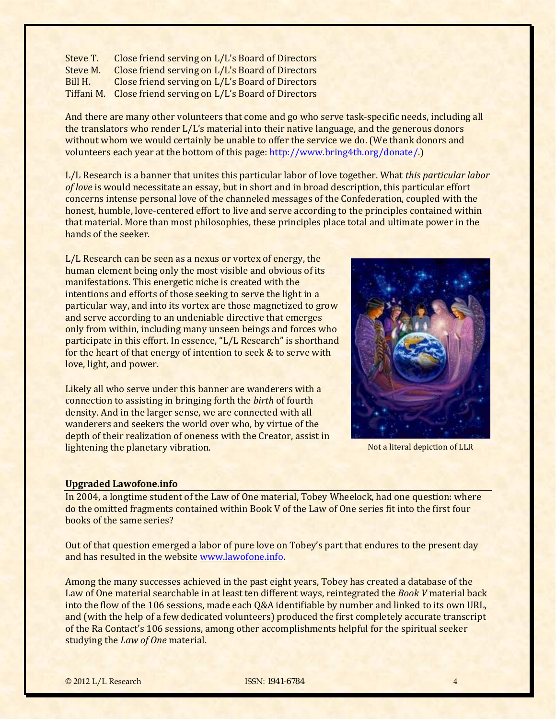Steve T. Close friend serving on L/L's Board of Directors Steve M. Close friend serving on L/L's Board of Directors Bill H. Close friend serving on L/L's Board of Directors Tiffani M. Close friend serving on L/L's Board of Directors

And there are many other volunteers that come and go who serve task-specific needs, including all the translators who render L/L's material into their native language, and the generous donors without whom we would certainly be unable to offer the service we [do](http://www.bring4th.org/donate/). (We thank donors and volunteers each year at the bottom of this page: http://www.bring4th.org/donate/.)

L/L Research is a banner that unites this particular labor of love together. What *this particular labor of love* is would necessitate an essay, but in short and in broad description, this particular effort concerns intense personal love of the channeled messages of the Confederation, coupled with the honest, humble, love-centered effort to live and serve according to the principles contained within that material. More than most philosophies, these principles place total and ultimate power in the hands of the seeker.

L/L Research can be seen as a nexus or vortex of energy, the human element being only the most visible and obvious of its manifestations. This energetic niche is created with the intentions and efforts of those seeking to serve the light in a particular way, and into its vortex are those magnetized to grow and serve according to an undeniable directive that emerges only from within, including many unseen beings and forces who participate in this effort. In essence, "L/L Research" is shorthand for the heart of that energy of intention to seek & to serve with love, light, and power.

Likely all who serve under this banner are wanderers with a connection to assisting in bringing forth the *birth* of fourth density. And in the larger sense, we are connected with all wanderers and seekers the world over who, by virtue of the depth of their realization of oneness with the Creator, assist in lightening the planetary vibration.

Not a literal depiction of LLR

# <span id="page-3-0"></span>**Upgraded Lawofone.info**

In 2004, a longtime student of the Law of One material, Tobey Wheelock, had one question: where do the omitted fragments contained within Book V of the Law of One series fit into the first four books of the same series?

Out of that question emerged a labor of pure love on Tobey's part that endures to the present day and has resulted in the website www.lawofone.info.

Among the many successes achieved in the past eight years, Tobey has created a database of the Law of One material searchable in at least ten different ways, reintegrated the *Book V* material back into the flow of the 106 sessions, made each Q&A identifiable by number and linked to its own URL, and (with the help of a few dedicated volunteers) produced the first completely accurate transcript of the Ra Contact's 106 sessions, among other accomplishments helpful for the spiritual seeker studying the *Law of One* material.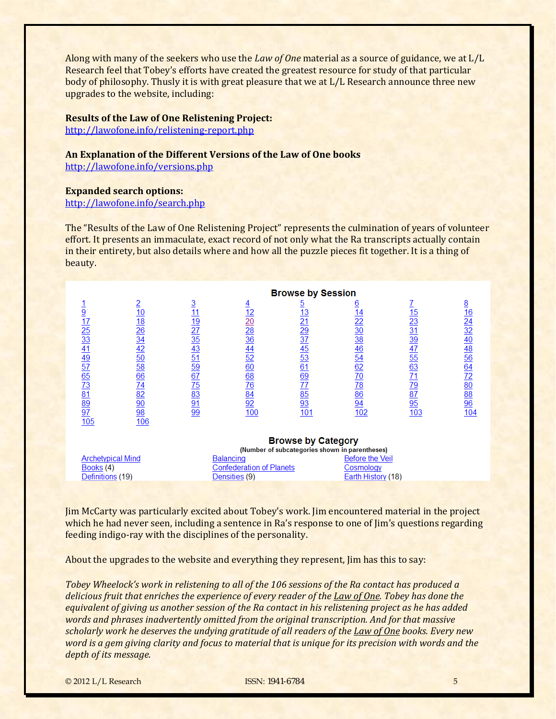Along with many of the seekers who use the *Law of One* material as a source of guidance, we at L/L Research feel that Tobey's efforts have created the greatest resource for study of that particular body of philosophy. Thusly it is with great pleasure that we at L/L Research announce three new upgrades to the website, including:

#### **Results of the Law of One Relistening Project:**

[http://lawofone.info/relistening‐report.php](http://lawofone.info/relistening-report.php)

# **An Explanation of the Different Versions of the Law of One books**

<http://lawofone.info/versions.php>

#### **Expanded search options:**

http://lawofone.info/search.php

The "Results of the Law of One Relistening Project" represents the culmination of years of volunteer effort. It presents an immaculate, exact record of not only what the Ra transcripts actually contain in their entirety, but also details where and how all the puzzle pieces fit together. It is a thing of beauty.

|                                                                                                                                                                                                                                                                                                                                                            |                                                                                                                                                                                                                                                                                   | <b>Browse by Session</b>                                                                                                                                       |                                                           |                                                                                                                                                                        |                                                                                                                                                                  |                                                                                                                                       |                                                                             |
|------------------------------------------------------------------------------------------------------------------------------------------------------------------------------------------------------------------------------------------------------------------------------------------------------------------------------------------------------------|-----------------------------------------------------------------------------------------------------------------------------------------------------------------------------------------------------------------------------------------------------------------------------------|----------------------------------------------------------------------------------------------------------------------------------------------------------------|-----------------------------------------------------------|------------------------------------------------------------------------------------------------------------------------------------------------------------------------|------------------------------------------------------------------------------------------------------------------------------------------------------------------|---------------------------------------------------------------------------------------------------------------------------------------|-----------------------------------------------------------------------------|
| $\frac{9}{125} \frac{7}{33} \frac{25}{41} \frac{33}{51} \frac{41}{65} \frac{97}{65} \frac{65}{12} \frac{73}{12} \frac{11}{12} \frac{89}{12} \frac{97}{10} \frac{7}{10} \frac{11}{10} \frac{11}{10} \frac{11}{10} \frac{11}{10} \frac{11}{10} \frac{11}{10} \frac{11}{10} \frac{11}{10} \frac{11}{10} \frac{11}{10} \frac{11}{10} \frac{11}{10} \frac{11}{$ | $\overline{2}$<br>$\frac{10}{18}$ $\frac{12}{29}$ $\frac{12}{34}$ $\frac{12}{29}$ $\frac{12}{34}$ $\frac{12}{29}$ $\frac{12}{34}$ $\frac{12}{29}$ $\frac{12}{34}$ $\frac{12}{29}$ $\frac{12}{34}$ $\frac{12}{34}$ $\frac{12}{34}$ $\frac{12}{34}$ $\frac{12}{34}$ $\frac{12}{34}$ | $\overline{3}$<br><u>11</u><br>$\frac{19}{27} \frac{27}{35} \frac{43}{43} \frac{51}{51} \frac{59}{52} \frac{67}{51} \frac{75}{63} \frac{63}{91} \frac{91}{99}$ | $\overline{4}$<br>12 20 28 36 44 52 60 68 76 84 92<br>100 | $\overline{5}$<br>$\frac{13}{21} \overline{29} \overline{37} \overline{45} \overline{33} \overline{61} \overline{69} \overline{77} \overline{25} \overline{33}$<br>101 | <u>6</u><br>$\frac{14}{22} \frac{20}{30} \frac{38}{36} \frac{46}{46} \frac{54}{62} \frac{62}{70} \frac{70}{78} \frac{86}{96} \frac{94}{94}$<br>$\frac{102}{102}$ | $\frac{15}{23} \frac{31}{31} \frac{91}{41} \frac{71}{55} \frac{63}{63} \frac{71}{11} \frac{79}{12} \frac{71}{95}$<br>$\overline{103}$ | <u>8</u><br>16<br>24<br>32<br>40<br>48<br>56<br>26<br>20<br>88<br>96<br>104 |
|                                                                                                                                                                                                                                                                                                                                                            |                                                                                                                                                                                                                                                                                   |                                                                                                                                                                |                                                           | <b>Drowen by Catogoni</b>                                                                                                                                              |                                                                                                                                                                  |                                                                                                                                       |                                                                             |

|                   | <b>DIUWSE DY GUEGOLY</b><br>(Number of subcategories shown in parentheses) |                    |  |  |
|-------------------|----------------------------------------------------------------------------|--------------------|--|--|
| Archetvpical Mind | <b>Balancing</b>                                                           | Before the Veil    |  |  |
| Books (4)         | <b>Confederation of Planets</b>                                            | Cosmology          |  |  |
| Definitions (19)  | Densities (9)                                                              | Earth History (18) |  |  |

Jim McCarty was particularly excited about Tobey's work. Jim encountered material in the project which he had never seen, including a sentence in Ra's response to one of Jim's questions regarding feeding indigo‐ray with the disciplines of the personality.

About the upgrades to the website and everything they represent, Jim has this to say:

*Tobey Wheelock's work in relistening to all of the 106 sessions of the Ra contact has produced a delicious fruit that enriches the experience of every reader of the Law of One. Tobey has done the* equivalent of giving us another session of the Ra contact in his relistening project as he has added *words and phrases inadvertently omitted from the original transcription. And for that massive scholarly work he deserves the undying gratitude of all readers of the Law of One books. Every new* word is a gem giving clarity and focus to material that is unique for its precision with words and the *depth of its message.*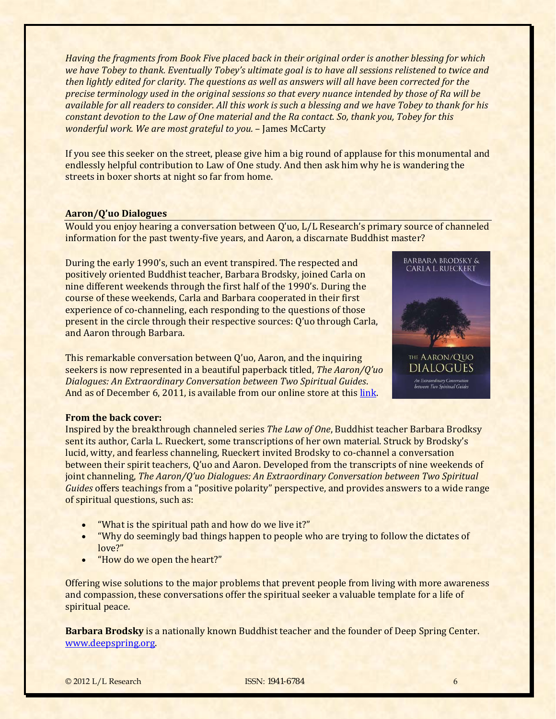*Having the fragments from Book Five placed back in their original order is another blessing for which* we have Tobey to thank. Eventually Tobey's ultimate goal is to have all sessions relistened to twice and then lightly edited for clarity. The questions as well as answers will all have been corrected for the precise terminology used in the original sessions so that every nuance intended by those of Ra will be available for all readers to consider. All this work is such a blessing and we have Tobey to thank for his *constant devotion to the Law of One material and the Ra contact. So, thank you, Tobey for this wonderful work. We are most grateful to you.* – James McCarty

If you see this seeker on the street, please give him a big round of applause for this monumental and endlessly helpful contribution to Law of One study. And then ask him why he is wandering the streets in boxer shorts at night so far from home.

# <span id="page-5-0"></span>**Aaron/Q'uo Dialogues**

Would you enjoy hearing a conversation between Q'uo, L/L Research's primary source of channeled information for the past twenty‐five years, and Aaron, a discarnate Buddhist master?

During the early 1990's, such an event transpired. The respected and positively oriented Buddhist teacher, Barbara Brodsky, joined Carla on nine different weekends through the first half of the 1990's. During the course of these weekends, Carla and Barbara cooperated in their first experience of co-channeling, each responding to the questions of those present in the circle through their respective sources: Q'uo through Carla, and Aaron through Barbara.

This remarkable conversation between Q'uo, Aaron, and the inquiring seekers is now represented in a beautiful paperback titled, *The Aaron/Q'uo Dialogues: An Extraordinary Conversation between Two Spiritual Guides*. And as of December 6, 2011, is available from our online store at this [link.](http://store.bring4th.org/product_info.php?cPath=21&products_id=87)



An Extraordinary Converatio<mark>r</mark><br>between Two Spiritual Guide

# **From the back cover:**

Inspired by the breakthrough channeled series *The Law of One*, Buddhist teacher Barbara Brodksy sent its author, Carla L. Rueckert, some transcriptions of her own material. Struck by Brodsky's lucid, witty, and fearless channeling, Rueckert invited Brodsky to co-channel a conversation between their spirit teachers, Q'uo and Aaron. Developed from the transcripts of nine weekends of joint channeling, *The Aaron/Q'uo Dialogues: An Extraordinary Conversation between Two Spiritual Guides* offers teachings from a "positive polarity" perspective, and provides answers to a wide range of spiritual questions, such as:

- "What is the spiritual path and how do we live it?"
- "Why do seemingly bad things happen to people who are trying to follow the dictates of love?"
- "How do we open the heart?"

Offering wise solutions to the major problems that prevent people from living with more awareness and compassion, these conversations offer the spiritual seeker a valuable template for a life of spiritual peace.

**Barbara Brodsky** is a nationally known Buddhist teacher and the founder of Deep Spring Center. [www.deepspring.org.](http://www.deepspring.org/)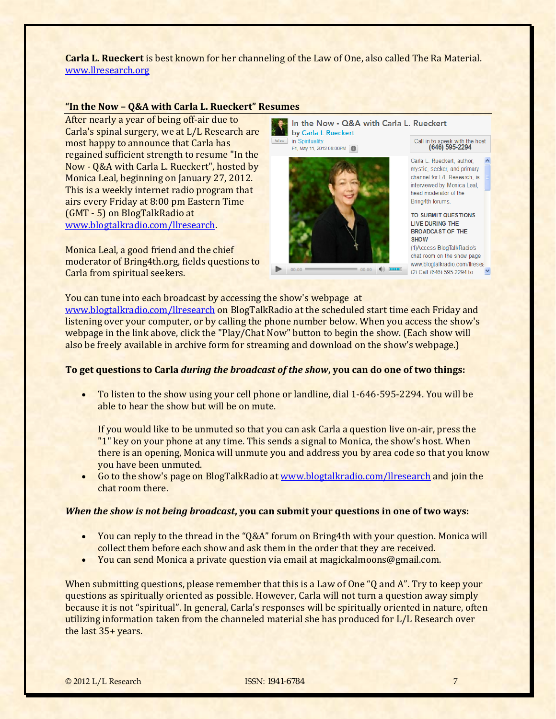**Carla L. Rueckert** is best known for her channeling of the Law of One, also called The Ra Material. [www.llresearch.org](http://www.llresearch.org/)

#### <span id="page-6-0"></span>**"In the Now – Q&A with Carla L. Rueckert" R[esumes](http://www.blogtalkradio.com/llresearch/2012/05/12/in-the-now--qa-with-carla-l-rueckert)**

After nearly a year of being off-air due to Carla's spinal surgery, we at L/L Research are most happy to announce that Carla has regained sufficient strength to resume "In the Now ‐ Q&A with Carla L. Rueckert", hosted by Monica Leal, beginning on January 27, 2012. This is a weekly internet radio program that airs every Friday at 8:00 pm Eastern Time (GMT ‐ 5) on BlogTalkRadio at www.blogtalkradio.com/llresearch.

Monica Leal, a good friend and the chief moderator of Bring4th.org, fields questions to Carla from spiritual seekers.

In the Now - Q&A with Carla L. Rueckert by Carla L Rueckert in Spirituality

Fri, May 11, 2012 08:00PM



Call in to speak with the host<br>(646) 595-2294

Carla L. Rueckert, author, my stic. seeker, and primary channel for L/L Research, is interviewed by Monica Leal. head moderator of the **Bring4th forums** 

TO SUBMIT QUESTIONS LIVE DURING THE **BROADCAST OF THE SHOW** 

(1)Access BlogTalkRadio's chat room on the show page www.blogtalkradio.com/llresea (2) Call (646) 595-2294 to

You can tune into each broadcast by accessing the show's webpage at [www.blogtalkradio.com/llresearch](http://www.blogtalkradio.com/llresearch) on BlogTalkRadio at the scheduled start time each Friday and listening over your computer, or by calling the phone number below. When you access the show's webpage in the link above, click the "Play/Chat Now" button to begin the show. (Each show will also be freely available in archive form for streaming and download on the show's webpage.)

# **To get questions to Carla** *during the broadcast of the show***, you can do one of two things:**

 To listen to the show using your cell phone or landline, dial 1‐646‐595‐2294. You will be able to hear the show but will be on mute.

If you would like to be unmuted so that you can ask Carla a question live on-air, press the "1" key on your phone at any time. This sends a signal to Monica, the show's host. When there is an opening, Monica will unmute you and address you by area code so that you know you have been unmuted.

 Go to the show's page on BlogTalkRadio at [www.blogtalkradio.com/llresearch](http://www.blogtalkradio.com/llresearch) and join the chat room there.

#### *When the show is not being broadcast***, you can submit your questions in one of two ways:**

- You can reply to the thread in the "Q&A" forum on Bring4th with your question. Monica will collect them before each show and ask them in the order that they are received.
- You can send Monica a private question via email at magickalmoons@gmail.com.

When submitting questions, please remember that this is a Law of One "Q and A". Try to keep your questions as spiritually oriented as possible. However, Carla will not turn a question away simply because it is not "spiritual". In general, Carla's responses will be spiritually oriented in nature, often utilizing information taken from the channeled material she has produced for L/L Research over the last 35+ years.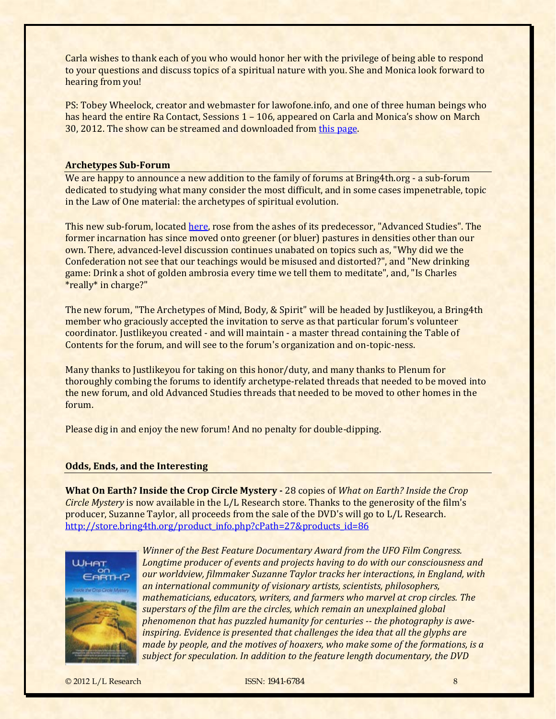Carla wishes to thank each of you who would honor her with the privilege of being able to respond to your questions and discuss topics of a spiritual nature with you. She and Monica look forward to hearing from you!

PS: Tobey Wheelock, creator and webmaster for lawofone.info, and one of three human beings who has heard the entire Ra Contact, Sessions 1 – 106, appeared on Carla and Monica's show on March 30, 2012. The show can be streamed and downloaded from [this page.](http://www.blogtalkradio.com/llresearch/2012/03/31/in-the-now--qa-with-carla-l-rueckert)

### <span id="page-7-0"></span>**Archetypes SubForum**

We are happy to announce a new addition to the family of forums at Bring4th.org - a sub-forum dedicated to studying what many consider the most difficult, and in some cases impenetrable, topic in the Law of One material: the archetypes of spiritual evolution.

This new sub‐forum, located [here](http://bring4th.org/forums/forumdisplay.php?fid=19), rose from the ashes of its predecessor, "Advanced Studies". The former incarnation has since moved onto greener (or bluer) pastures in densities other than our own. There, advanced-level discussion continues unabated on topics such as, "Why did we the Confederation not see that our teachings would be misused and distorted?", and "New drinking game: Drink a shot of golden ambrosia every time we tell them to meditate", and, "Is Charles \*really\* in charge?"

The new forum, "The Archetypes of Mind, Body, & Spirit" will be headed by Justlikeyou, a Bring4th member who graciously accepted the invitation to serve as that particular forum's volunteer coordinator. Justlikeyou created ‐ and will maintain ‐ a master thread containing the Table of Contents for the forum, and will see to the forum's organization and on‐topic‐ness.

Many thanks to Justlikeyou for taking on this honor/duty, and many thanks to Plenum for thoroughly combing the forums to identify archetype‐related threads that needed to be moved into the new forum, and old Advanced Studies threads that needed to be moved to other homes in the forum.

Please dig in and enjoy the new forum! And no penalty for double-dipping.

#### <span id="page-7-1"></span>**Odds, Ends, and the Interesting**

**What On Earth? Inside the Crop Circle Mystery** 28 copies of *What on Earth? Inside the Crop Circle Mystery* is now available in the L/L Research store. Thanks to the generosity of the film's [producer, Suzanne Taylor, all proceeds from the sale of the DVD's will go](http://store.bring4th.org/product_info.php?cPath=27&products_id=86) to L/L Research. http://store.bring4th.org/product\_info.php?cPath=27&products\_id=86



*Winner of the Best Feature Documentary Award from the UFO Film Congress. [L](http://store.bring4th.org/product_info.php?cPath=27&products_id=86)ongtime producer of events and projects having to do with our consciousness and our worldview, filmmaker Suzanne Taylor tracks her interactions, in England, with an international community of visionary artists, scientists, philosophers, mathematicians, educators, writers, and farmers who marvel at crop circles. The superstars of the film are the circles, which remain an unexplained global phenomenon that has puzzled humanity for centuries the photography is aweinspiring. Evidence is presented that challenges the idea that all the glyphs are made by people, and the motives of hoaxers, who make some of the formations, is a subject for speculation. In addition to the feature length documentary, the DVD*

© 2012 L/L Research ISSN: 1941-6784 8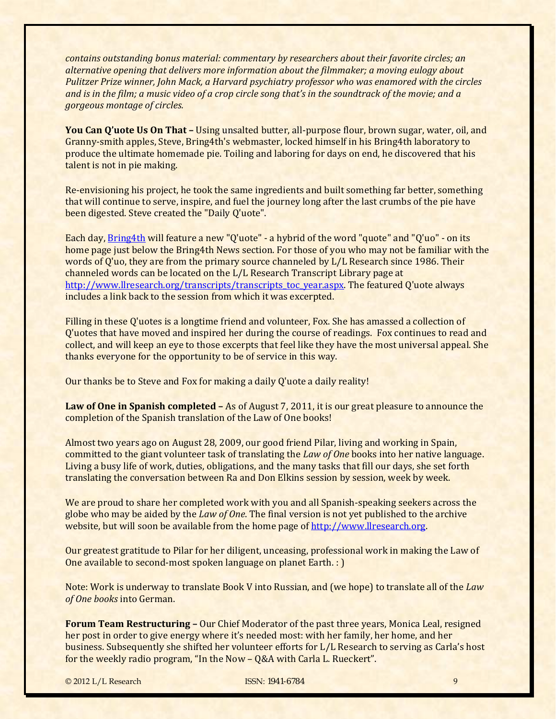*contains outstanding bonus material: commentary by researchers about their favorite circles; an alternative opening that delivers more information about the filmmaker; a moving eulogy about Pulitzer Prize winner, John Mack, a Harvard psychiatry professor who was enamored with the circles* and is in the film; a music video of a crop circle song that's in the soundtrack of the movie; and a *gorgeous montage of circles.*

**You Can Q'uote Us On That –** Using unsalted butter, all‐purpose flour, brown sugar, water, oil, and Granny‐smith apples, Steve, Bring4th's webmaster, locked himself in his Bring4th laboratory to produce the ultimate homemade pie. Toiling and laboring for days on end, he discovered that his talent is not in pie making.

Re-envisioning his project, he took the same ingredients and built something far better, something that will continue to serve, inspire, and fuel the journey long after the last crumbs of the pie have been digested. Steve created the "Daily Q'uote".

Each day, [Bring4th](http://www.bring4th.org/) will feature a new "Q'uote" - a hybrid of the word "quote" and "Q'uo" - on its home page just below the Bring4th News section. For those of you who may not be familiar with the words of Q'uo, they are from the primary source channeled by L/L Research since 1986. Their channeled words can be located on the L/L Research Transcript Library page at [http://www.llresearch.org/transcripts/transcripts\\_toc\\_year.aspx](http://www.llresearch.org/transcripts/transcripts_toc_year.aspx). The featured Q'uote always includes a link back to the session from which it was excerpted.

Filling in these Q'uotes is a longtime friend and volunteer, Fox. She has amassed a collection of Q'uotes that have moved and inspired her during the course of readings. Fox continues to read and collect, and will keep an eye to those excerpts that feel like they have the most universal appeal. She thanks everyone for the opportunity to be of service in this way.

Our thanks be to Steve and Fox for making a daily Q'uote a daily reality!

**Law of One in Spanish completed –** As of August 7, 2011, it is our great pleasure to announce the completion of the Spanish translation of the Law of One books!

Almost two years ago on August 28, 2009, our good friend Pilar, living and working in Spain, committed to the giant volunteer task of translating the *Law of One* books into her native language. Living a busy life of work, duties, obligations, and the many tasks that fill our days, she set forth translating the conversation between Ra and Don Elkins session by session, week by week.

We are proud to share her completed work with you and all Spanish-speaking seekers across the globe who may be aided by the *Law of One*. The final version is not yet published to the archive website, but will soon be available from the home page of http://www.llresearch.org.

Our greatest gratitude to Pilar for her diligent, unceasing, professional work in making the Law of One available to second‐most spoken language on planet Earth. : )

Note: Work is underway to translate Book V into Russian, and (we hope) to translate all of the *Law of One books* into German.

**Forum Team Restructuring –** Our Chief Moderator of the past three years, Monica Leal, resigned her post in order to give energy where it's needed most: with her family, her home, and her business. Subsequently she shifted her volunteer efforts for L/L Research to serving as Carla's host for the weekly radio program, "In the Now – Q&A with Carla L. Rueckert".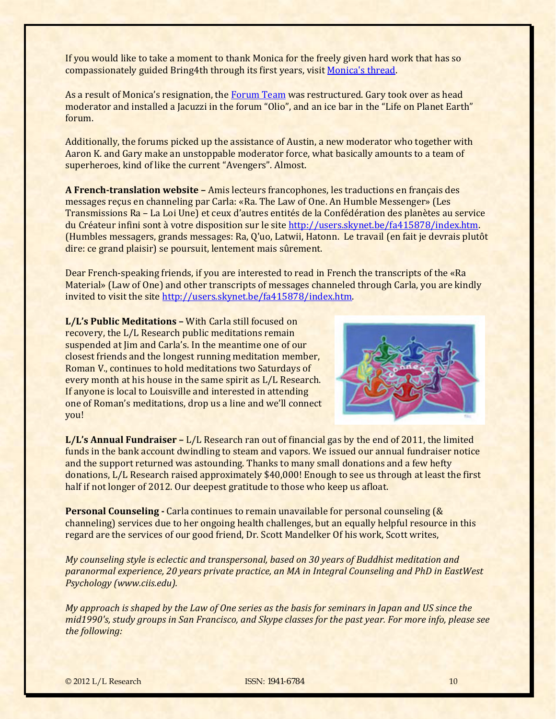If you would like to take a moment to thank Monica for the freely given hard work that has so compassionately guided Bring4th through its first years, visit [Monica's thread.](http://www.bring4th.org/forums/showteam.php)

As a result of Monica's resignation, the [Forum Team](http://www.bring4th.org/forums/showteam.php) was restructured. Gary took over as head moderator and installed a Jacuzzi in the forum "Olio", and an ice bar in the "Life on Planet Earth" forum.

Additionally, the forums picked up the assistance of Austin, a new moderator who together with Aaron K. and Gary make an unstoppable moderator force, what basically amounts to a team of superheroes, kind of like the current "Avengers". Almost.

**A Frenchtranslation website –** Amis lecteurs francophones, les traductions en français des messages reçus en channeling par Carla: «Ra. The Law of One. An Humble Messenger» (Les Transmissions Ra – La Loi Une) et ceux d'autres entités de la Confédération des planètes au service du Créateur infini sont à votre disposition sur le site<http://users.skynet.be/fa415878/index.htm>. (Humbles messagers, grands messages: Ra, Q'uo, Latwii, Hatonn. Le travail (en fait je devrais plutôt dire: ce grand plaisir) se poursuit, lentement mais sûrement.

Dear French‐speaking friends, if you are interested to read in French the transcripts of the «Ra Material» (Law of One) and other transcripts of messages channeled through Carla, you are kindly invited to visit the site [http://users.skynet.be/fa415878/index.htm.](http://users.skynet.be/fa415878/index.htm)

**L/L's Public Meditations –** With Carla still focused on recovery, the L/L Research public meditations remain suspended at Jim and Carla's. In the meantime one of our closest friends and the longest running meditation member, Roman V., continues to hold meditations two Saturdays of every month at his house in the same spirit as L/L Research. If anyone is local to Louisville and interested in attending one of Roman's meditations, drop us a line and we'll connect you!



**L/L's Annual Fundraiser –** L/L Research ran out of financial gas by the end of 2011, the limited funds in the bank account dwindling to steam and vapors. We issued our annual fundraiser notice and the support returned was astounding. Thanks to many small donations and a few hefty donations, L/L Research raised approximately \$40,000! Enough to see us through at least the first half if not longer of 2012. Our deepest gratitude to those who keep us afloat.

**Personal Counseling** Carla continues to remain unavailable for personal counseling (& channeling) services due to her ongoing health challenges, but an equally helpful resource in this regard are the services of our good friend, Dr. Scott Mandelker Of his work, Scott writes,

*My counseling style is eclectic and transpersonal, based on 30 years of Buddhist meditation and paranormal experience, 20 years private practice, an MA in Integral Counseling and PhD in EastWest Psychology (www.ciis.edu).*

My approach is shaped by the Law of One series as the basis for seminars in Japan and US since the mid1990's, study groups in San Francisco, and Skype classes for the past year. For more info, please see *the following:*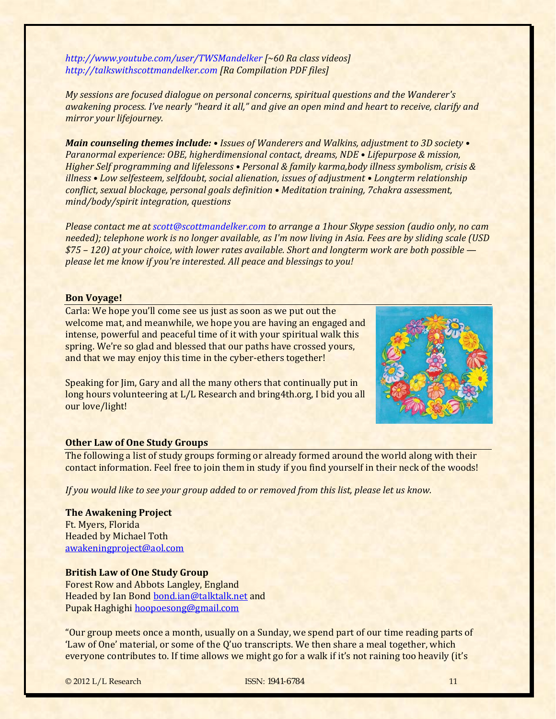*http://www.youtube.com/user/TWSMandelker [~60 Ra class videos] http://talkswithscottmandelker.com [Ra Compilation PDF files]*

*My sessions are focused dialogue on personal concerns, spiritual questions and the Wanderer's* awakening process. I've nearly "heard it all," and give an open mind and heart to receive, clarify and *mirror your lifejourney.*

*Main counseling themes include: • Issues of Wanderers and Walkins, adjustment to 3D society • Paranormal experience: OBE, higherdimensional contact, dreams, NDE • Lifepurpose & mission, Higher Self programming and lifelessons • Personal & family karma,body illness symbolism, crisis & illness • Low selfesteem, selfdoubt, social alienation, issues of adjustment • Longterm relationship conflict, sexual blockage, personal goals definition • Meditation training, 7chakra assessment, mind/body/spirit integration, questions*

*Please contact me at scott@scottmandelker.com to arrange a 1hour Skype session (audio only, no cam* needed); telephone work is no longer available, as I'm now living in Asia. Fees are by sliding scale (USD *\$75 – 120) at your choice, with lower rates available. Short and longterm work are both possible please let me know if you're interested. All peace and blessings to you!* 

#### **Bon Voyage!**

Carla: We hope you'll come see us just as soon as we put out the welcome mat, and meanwhile, we hope you are having an engaged and intense, powerful and peaceful time of it with your spiritual walk this spring. We're so glad and blessed that our paths have crossed yours, and that we may enjoy this time in the cyber-ethers together!

Speaking for Jim, Gary and all the many others that continually put in long hours volunteering at L/L Research and bring4th.org, I bid you all our love/light!



#### <span id="page-10-0"></span>**Other Law of One Study Groups**

The following a list of study groups forming or already formed around the world along with their contact information. Feel free to join them in study if you find yourself in their neck of the woods!

*If you would like to see your group added to or removed from this list, please let us know.*

**The Awakening Project** Ft. Myers, Florida Headed by Michael Toth [awakeningproject@aol.com](mailto:awakeningproject@aol.com)

### **British Law of One Study Group**

Forest Row and Abbots Langley, England Headed by Ian Bond [bond.ian@talktalk.net](mailto:bond.ian@talktalk.net) and Pupak Haghighi hoopoesong@gmail.com

"Our group meets once a month, usually on a Sunday, we spend part of our time reading parts of 'Law of One' material, or some of the Q'uo transcripts. We then share a meal together, which everyone contributes to. If time allows we might go for a walk if it's not raining too heavily (it's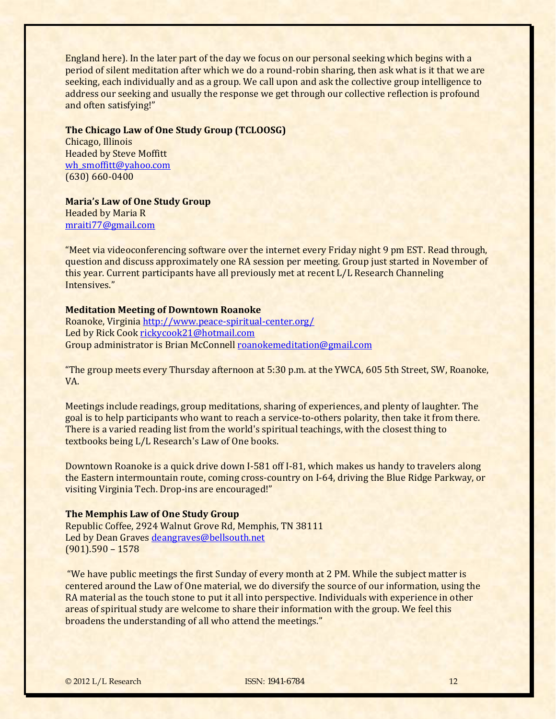England here). In the later part of the day we focus on our personal seeking which begins with a period of silent meditation after which we do a round-robin sharing, then ask what is it that we are seeking, each individually and as a group. We call upon and ask the collective group intelligence to address our seeking and usually the response we get through our collective reflection is profound and often satisfying!"

### **The Chicago Law of One Study Group (TCLOOSG)**

Chicago, Illinois Headed by Steve Moffitt [wh\\_smoffitt@yahoo.com](mailto:wh_smoffitt@yahoo.com) (630) 660‐0400

**Maria's Law of One Study Group** Headed by Maria R

mraiti77@gmail.com

"Meet via videoconferencing software over the internet every Friday night 9 pm EST. Read through, question and discuss approximately one RA session per meeting. Group just started in November of this year. Current participants have all previously met at recent L/L Research Channeling Intensives."

# **Meditation Meeting of Downtown Roanoke**

Roanoke, Virgini[a h](mailto:rickycook21@hotmail.com)[ttp://www.peace‐spiritual‐center.org/](http://www.peace-spiritual-center.org/) Led by Rick Cook rickycook21@hotmail.com Group administrator is Brian McConnell roanokemeditation@gmail.com

"The group meets every Thursday afternoon at 5:30 p.m. at the YWCA, 605 5th Street, SW, Roanoke, VA.

Meetings include readings, group meditations, sharing of experiences, and plenty of laughter. The goal is to help participants who want to reach a service‐to‐others polarity, then take it from there. There is a varied reading list from the world's spiritual teachings, with the closest thing to textbooks being L/L Research's Law of One books.

Downtown Roanoke is a quick drive down I‐581 off I‐81, which makes us handy to travelers along the Eastern intermountain route, coming cross‐country on I‐64, driving the Blue Ridge Parkway, or visiting Virginia Tech. Drop‐ins are encouraged!"

# **The Memphis Law of One Study Group**

Republic Coffee, 2924 Walnut Grove Rd, Memphis, TN 38111 Led by Dean Graves [deangraves@bellsouth.net](mailto:deangraves@bellsouth.net)  (901).590 – 1578

 "We have public meetings the first Sunday of every month at 2 PM. While the subject matter is centered around the Law of One material, we do diversify the source of our information, using the RA material as the touch stone to put it all into perspective. Individuals with experience in other areas of spiritual study are welcome to share their information with the group. We feel this broadens the understanding of all who attend the meetings."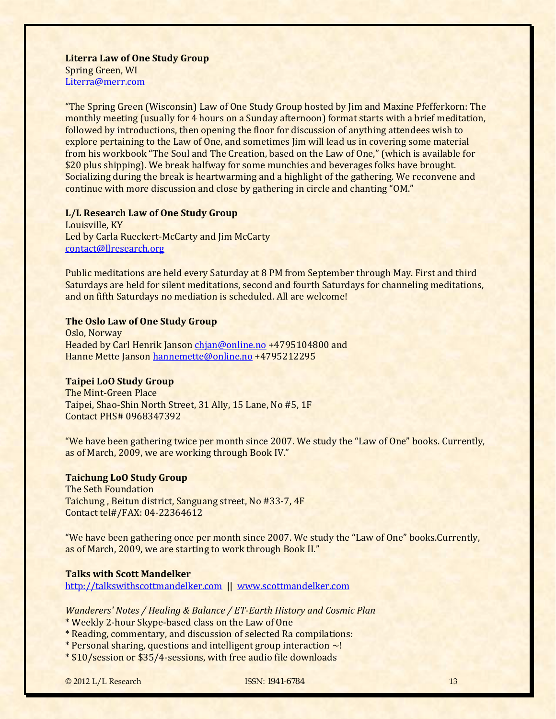**Literra Law of One Study Group** Spring Green, WI Literra@merr.com

"The Spring Green (Wisconsin) Law of One Study Group hosted by Jim and Maxine Pfefferkorn: The monthly meeting (usually for 4 hours on a Sunday afternoon) format starts with a brief meditation, followed by introductions, then opening the floor for discussion of anything attendees wish to explore pertaining to the Law of One, and sometimes Jim will lead us in covering some material from his workbook "The Soul and The Creation, based on the Law of One," (which is available for \$20 plus shipping). We break halfway for some munchies and beverages folks have brought. Socializing during the break is heartwarming and a highlight of the gathering. We reconvene and continue with more discussion and close by gathering in circle and chanting "OM."

#### **L/L Research Law of One Study Group**

Louisville, KY Led by Carla Rueckert‐McCarty and Jim McCarty contact@llresearch.org

Public meditations are held every Saturday at 8 PM from September through May. First and third Saturdays are held for silent meditations, second and fourth Saturdays for channeling meditations, and on fifth Saturdays no mediation is scheduled. All are welcome!

# **The Oslo Law of One Study Group**

Oslo, Norway Headed by Carl Hen[rik Janson c](mailto:hannemette@online.no)[hjan@online.no](mailto:chjan@online.no) +4795104800 and Hanne Mette Janson hannemette@online.no +4795212295

### **Taipei LoO Study Group**

The Mint‐Green Place Taipei, Shao‐Shin North Street, 31 Ally, 15 Lane, No #5, 1F Contact PHS# 0968347392

"We have been gathering twice per month since 2007. We study the "Law of One" books. Currently, as of March, 2009, we are working through Book IV."

#### **Taichung LoO Study Group**

The Seth Foundation Taichung , Beitun district, Sanguang street, No #33‐7, 4F Contact tel#/FAX: 04‐22364612

"We have been gathering once per month since 2007. We study the "Law of One" books.Currently, as of March, 2009, we are starting to work through Book II."

# **Talks with Scott Mandelker**

[http://talkswithscottmandelker.com](http://talkswithscottmandelker.com/)  || [www.scottmandelker.com](http://www.scottmandelker.com/)

*Wanderers' Notes / Healing & Balance / ETEarth History and Cosmic Plan*

- \* Weekly 2‐hour Skype‐based class on the Law of One
- \* Reading, commentary, and discussion of selected Ra compilations:
- \* Personal sharing, questions and intelligent group interaction ~!
- \* \$10/session or \$35/4‐sessions, with free audio file downloads